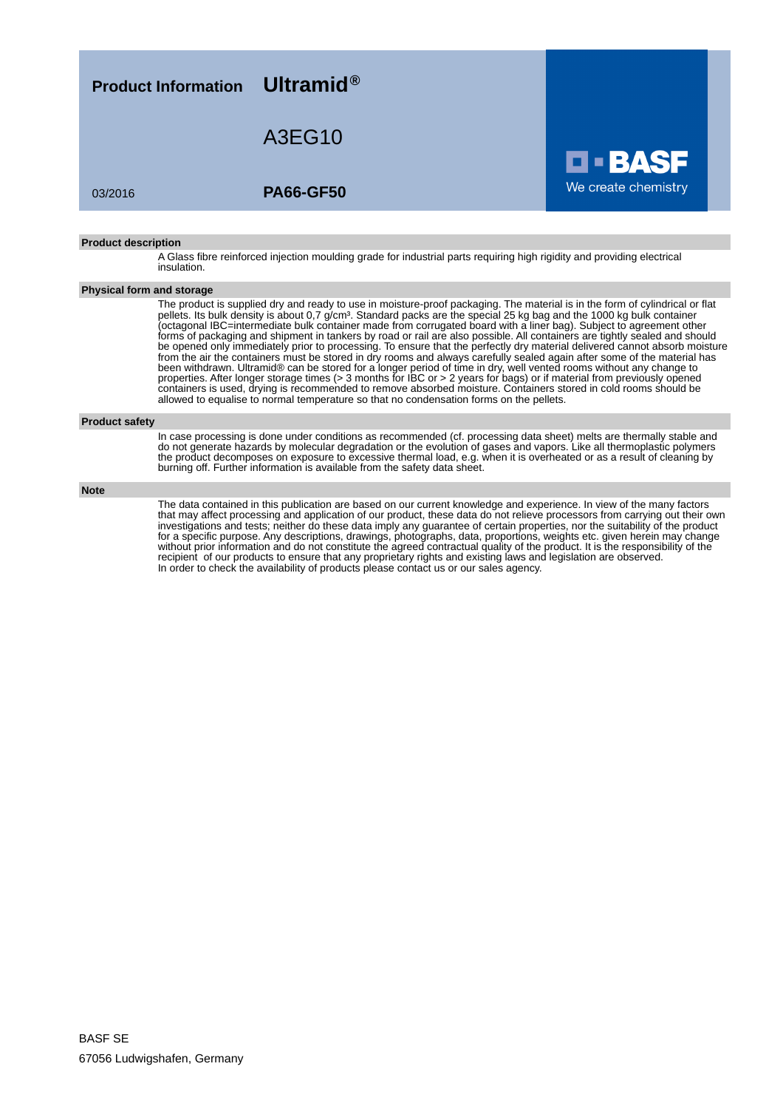

#### **Product description**

A Glass fibre reinforced injection moulding grade for industrial parts requiring high rigidity and providing electrical insulation.

### **Physical form and storage**

The product is supplied dry and ready to use in moisture-proof packaging. The material is in the form of cylindrical or flat pellets. Its bulk density is about 0,7 g/cm<sup>3</sup>. Standard packs are the special 25 kg bag and the 1000 kg bulk container (octagonal IBC=intermediate bulk container made from corrugated board with a liner bag). Subject to agreement other forms of packaging and shipment in tankers by road or rail are also possible. All containers are tightly sealed and should be opened only immediately prior to processing. To ensure that the perfectly dry material delivered cannot absorb moisture from the air the containers must be stored in dry rooms and always carefully sealed again after some of the material has been withdrawn. Ultramid® can be stored for a longer period of time in dry, well vented rooms without any change to properties. After longer storage times (> 3 months for IBC or > 2 years for bags) or if material from previously opened containers is used, drying is recommended to remove absorbed moisture. Containers stored in cold rooms should be allowed to equalise to normal temperature so that no condensation forms on the pellets.

#### **Product safety**

In case processing is done under conditions as recommended (cf. processing data sheet) melts are thermally stable and do not generate hazards by molecular degradation or the evolution of gases and vapors. Like all thermoplastic polymers the product decomposes on exposure to excessive thermal load, e.g. when it is overheated or as a result of cleaning by burning off. Further information is available from the safety data sheet.

#### **Note**

The data contained in this publication are based on our current knowledge and experience. In view of the many factors that may affect processing and application of our product, these data do not relieve processors from carrying out their own investigations and tests; neither do these data imply any guarantee of certain properties, nor the suitability of the product for a specific purpose. Any descriptions, drawings, photographs, data, proportions, weights etc. given herein may change without prior information and do not constitute the agreed contractual quality of the product. It is the responsibility of the recipient of our products to ensure that any proprietary rights and existing laws and legislation are observed. In order to check the availability of products please contact us or our sales agency.